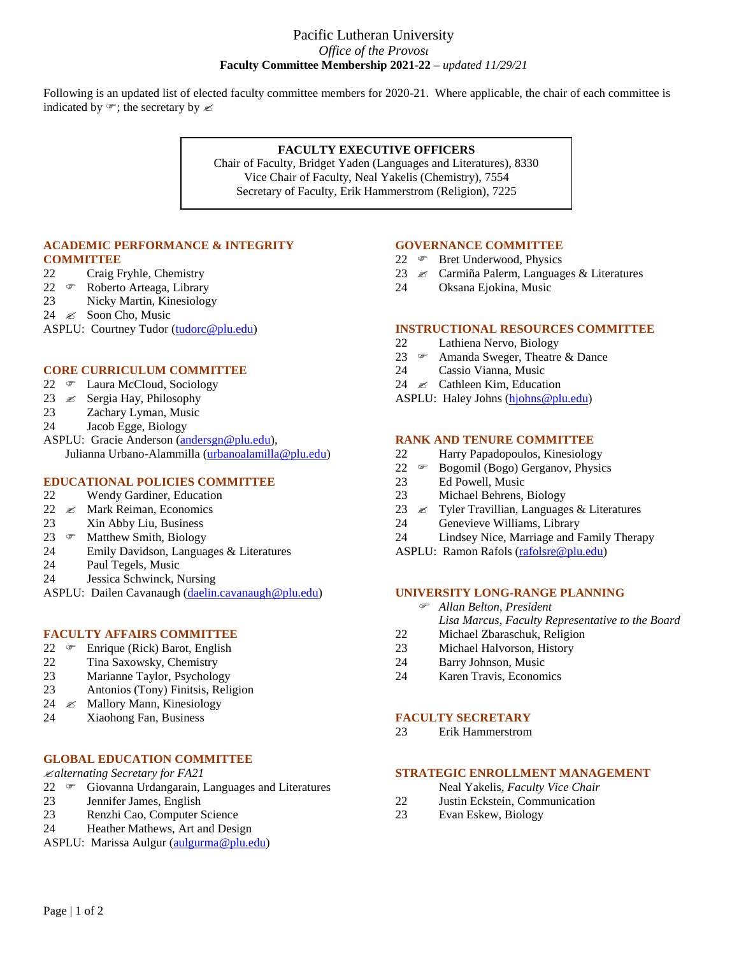#### Pacific Lutheran University *Office of the Provost* **Faculty Committee Membership 2021-22 –** *updated 11/29/21*

Following is an updated list of elected faculty committee members for 2020-21. Where applicable, the chair of each committee is indicated by  $\mathcal{F}$ ; the secretary by  $\mathcal{L}$ 

#### **FACULTY EXECUTIVE OFFICERS**

Chair of Faculty, Bridget Yaden (Languages and Literatures), 8330 Vice Chair of Faculty, Neal Yakelis (Chemistry), 7554 Secretary of Faculty, Erik Hammerstrom (Religion), 7225

#### **ACADEMIC PERFORMANCE & INTEGRITY COMMITTEE**

- 22 Craig Fryhle, Chemistry
- 22 <sup>o</sup> Roberto Arteaga, Library
- 23 Nicky Martin, Kinesiology
- 24  $\approx$  Soon Cho, Music

ASPLU: Courtney Tudor [\(tudorc@plu.edu\)](mailto:tudorc@plu.edu)

#### **CORE CURRICULUM COMMITTEE**

- 22 **Executer** Laura McCloud, Sociology
- 23  $\ll$  Sergia Hay, Philosophy
- 23 Zachary Lyman, Music
- 24 Jacob Egge, Biology

ASPLU: Gracie Anderson [\(andersgn@plu.edu\)](mailto:andersgn@plu.edu), Julianna Urbano-Alammilla [\(urbanoalamilla@plu.edu\)](mailto:urbanoalamilla@plu.edu)

# **EDUCATIONAL POLICIES COMMITTEE**

- 22 Wendy Gardiner, Education
- 22  $\&$  Mark Reiman, Economics
- 23 Xin Abby Liu, Business
- 23  $\infty$  Matthew Smith, Biology
- 24 Emily Davidson, Languages & Literatures
- 24 Paul Tegels, Music
- 24 Jessica Schwinck, Nursing
- ASPLU: Dailen Cavanaugh [\(daelin.cavanaugh@plu.edu\)](mailto:daelin.cavanaugh@plu.edu)

#### **FACULTY AFFAIRS COMMITTEE**

- 22  $\in$  Enrique (Rick) Barot, English
- 22 Tina Saxowsky, Chemistry
- 
- 23 Marianne Taylor, Psychology<br>23 Antonios (Tony) Finitsis. Reli 23 Antonios (Tony) Finitsis, Religion
- 24  $\&$  Mallory Mann, Kinesiology
- 24 Xiaohong Fan, Business

# **GLOBAL EDUCATION COMMITTEE**

*alternating Secretary for FA21*

- $22 \quad \text{°}$  Giovanna Urdangarain, Languages and Literatures
- 23 Jennifer James, English
- 23 Renzhi Cao, Computer Science
- 24 Heather Mathews, Art and Design
- ASPLU: Marissa Aulgur [\(aulgurma@plu.edu\)](mailto:aulgurma@plu.edu)

#### **GOVERNANCE COMMITTEE**

- 22 **Bret Underwood, Physics**
- 23  $\,\mathscr{L}$  Carmiña Palerm, Languages & Literatures
- 24 Oksana Ejokina, Music

#### **INSTRUCTIONAL RESOURCES COMMITTEE**

- 22 Lathiena Nervo, Biology
- 23  $\infty$  Amanda Sweger, Theatre & Dance
- 24 Cassio Vianna, Music
- 24  $\ll$  Cathleen Kim, Education
- ASPLU: Haley Johns [\(hjohns@plu.edu\)](mailto:hjohns@plu.edu)

#### **RANK AND TENURE COMMITTEE**

- 22 Harry Papadopoulos, Kinesiology
- 22  $\infty$  Bogomil (Bogo) Gerganov, Physics
- 23 Ed Powell, Music
- 23 Michael Behrens, Biology
- 23  $\&$  Tyler Travillian, Languages & Literatures
- 24 Genevieve Williams, Library
- 24 Lindsey Nice, Marriage and Family Therapy
- ASPLU: Ramon Rafols [\(rafolsre@plu.edu\)](mailto:rafolsre@plu.edu)

# **UNIVERSITY LONG-RANGE PLANNING**

- *Allan Belton, President Lisa Marcus, Faculty Representative to the Board* 22 Michael Zbaraschuk, Religion
- 23 Michael Halvorson, History
- 24 Barry Johnson, Music
- 24 Karen Travis, Economics

#### **FACULTY SECRETARY**

23 Erik Hammerstrom

#### **STRATEGIC ENROLLMENT MANAGEMENT**

- Neal Yakelis*, Faculty Vice Chair*
- 22 Justin Eckstein, Communication
- 23 Evan Eskew, Biology